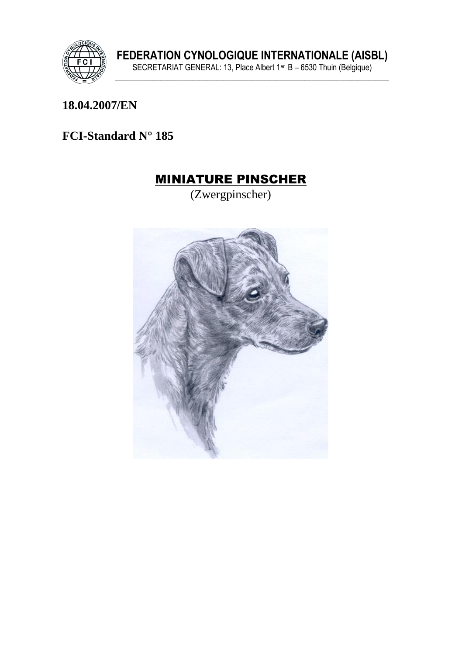

#### 18.04.2007/EN

### FCI-Standard N° 185

### **MINIATURE PINSCHER**

(Zwergpinscher)

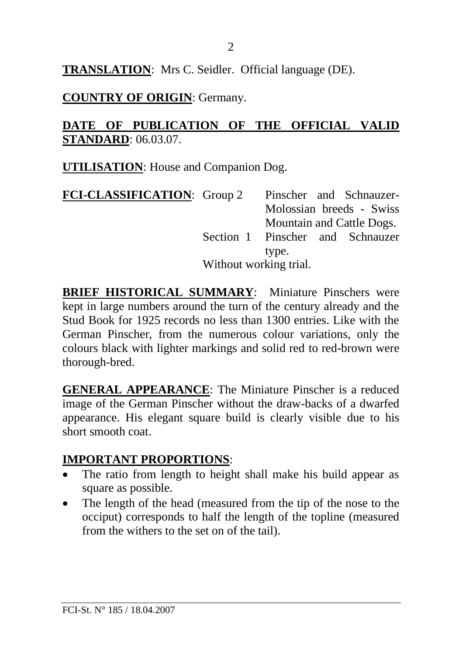**TRANSLATION**: Mrs C. Seidler. Official language (DE).

#### **COUNTRY OF ORIGIN**: Germany.

#### **DATE OF PUBLICATION OF THE OFFICIAL VALID STANDARD**: 06.03.07.

**UTILISATION**: House and Companion Dog.

| <b>FCI-CLASSIFICATION:</b> Group 2 | Pinscher and Schnauzer-          |  |
|------------------------------------|----------------------------------|--|
|                                    | Molossian breeds - Swiss         |  |
|                                    | Mountain and Cattle Dogs.        |  |
|                                    | Section 1 Pinscher and Schnauzer |  |
|                                    | type.                            |  |
|                                    | Without working trial.           |  |

**BRIEF HISTORICAL SUMMARY**: Miniature Pinschers were kept in large numbers around the turn of the century already and the Stud Book for 1925 records no less than 1300 entries. Like with the German Pinscher, from the numerous colour variations, only the colours black with lighter markings and solid red to red-brown were thorough-bred.

**GENERAL APPEARANCE**: The Miniature Pinscher is a reduced image of the German Pinscher without the draw-backs of a dwarfed appearance. His elegant square build is clearly visible due to his short smooth coat.

### **IMPORTANT PROPORTIONS**:

- The ratio from length to height shall make his build appear as square as possible.
- The length of the head (measured from the tip of the nose to the occiput) corresponds to half the length of the topline (measured from the withers to the set on of the tail).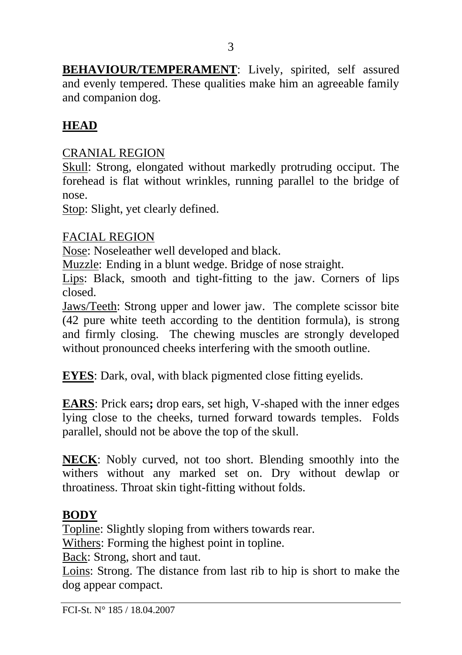**BEHAVIOUR/TEMPERAMENT**: Lively, spirited, self assured and evenly tempered. These qualities make him an agreeable family and companion dog.

### **HEAD**

### CRANIAL REGION

Skull: Strong, elongated without markedly protruding occiput. The forehead is flat without wrinkles, running parallel to the bridge of nose.

Stop: Slight, yet clearly defined.

### FACIAL REGION

Nose: Noseleather well developed and black.

Muzzle: Ending in a blunt wedge. Bridge of nose straight.

Lips: Black, smooth and tight-fitting to the jaw. Corners of lips closed.

Jaws/Teeth: Strong upper and lower jaw. The complete scissor bite (42 pure white teeth according to the dentition formula), is strong and firmly closing. The chewing muscles are strongly developed without pronounced cheeks interfering with the smooth outline.

**EYES**: Dark, oval, with black pigmented close fitting evelids.

**EARS**: Prick ears**;** drop ears, set high, V-shaped with the inner edges lying close to the cheeks, turned forward towards temples. Folds parallel, should not be above the top of the skull.

**NECK**: Nobly curved, not too short. Blending smoothly into the withers without any marked set on. Dry without dewlap or throatiness. Throat skin tight-fitting without folds.

### **BODY**

Topline: Slightly sloping from withers towards rear.

Withers: Forming the highest point in topline.

Back: Strong, short and taut.

Loins: Strong. The distance from last rib to hip is short to make the dog appear compact.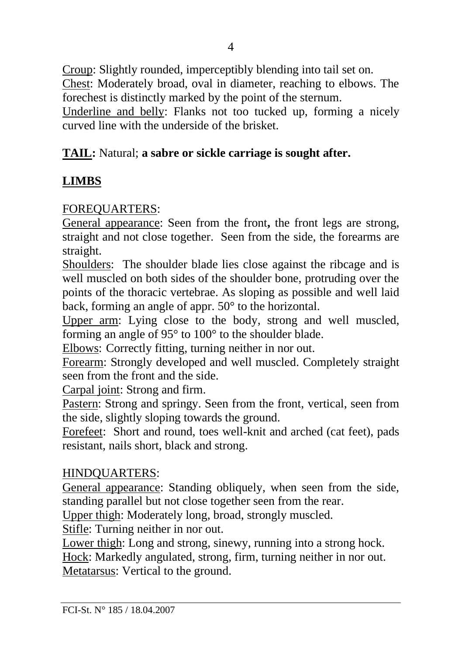Croup: Slightly rounded, imperceptibly blending into tail set on. Chest: Moderately broad, oval in diameter, reaching to elbows. The forechest is distinctly marked by the point of the sternum. Underline and belly: Flanks not too tucked up, forming a nicely curved line with the underside of the brisket.

### **TAIL:** Natural; **a sabre or sickle carriage is sought after.**

## **LIMBS**

### FOREQUARTERS:

General appearance: Seen from the front**,** the front legs are strong, straight and not close together. Seen from the side, the forearms are straight.

Shoulders: The shoulder blade lies close against the ribcage and is well muscled on both sides of the shoulder bone, protruding over the points of the thoracic vertebrae. As sloping as possible and well laid back, forming an angle of appr. 50° to the horizontal.

Upper arm: Lying close to the body, strong and well muscled, forming an angle of 95° to 100° to the shoulder blade.

Elbows: Correctly fitting, turning neither in nor out.

Forearm: Strongly developed and well muscled. Completely straight seen from the front and the side.

Carpal joint: Strong and firm.

Pastern: Strong and springy. Seen from the front, vertical, seen from the side, slightly sloping towards the ground.

Forefeet: Short and round, toes well-knit and arched (cat feet), pads resistant, nails short, black and strong.

#### HINDQUARTERS:

General appearance: Standing obliquely, when seen from the side, standing parallel but not close together seen from the rear.

Upper thigh: Moderately long, broad, strongly muscled.

Stifle: Turning neither in nor out.

Lower thigh: Long and strong, sinewy, running into a strong hock.

Hock: Markedly angulated, strong, firm, turning neither in nor out. Metatarsus: Vertical to the ground.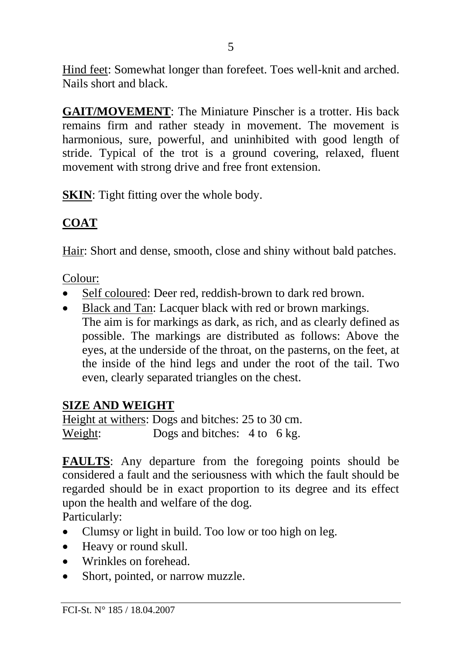Hind feet: Somewhat longer than forefeet. Toes well-knit and arched. Nails short and black.

**GAIT/MOVEMENT**: The Miniature Pinscher is a trotter. His back remains firm and rather steady in movement. The movement is harmonious, sure, powerful, and uninhibited with good length of stride. Typical of the trot is a ground covering, relaxed, fluent movement with strong drive and free front extension.

**SKIN:** Tight fitting over the whole body.

# **COAT**

Hair: Short and dense, smooth, close and shiny without bald patches.

Colour:

- Self coloured: Deer red, reddish-brown to dark red brown.
- Black and Tan: Lacquer black with red or brown markings. The aim is for markings as dark, as rich, and as clearly defined as possible. The markings are distributed as follows: Above the eyes, at the underside of the throat, on the pasterns, on the feet, at the inside of the hind legs and under the root of the tail. Two even, clearly separated triangles on the chest.

## **SIZE AND WEIGHT**

Height at withers: Dogs and bitches: 25 to 30 cm. Weight: Dogs and bitches: 4 to 6 kg.

**FAULTS**: Any departure from the foregoing points should be considered a fault and the seriousness with which the fault should be regarded should be in exact proportion to its degree and its effect upon the health and welfare of the dog.

Particularly:

- Clumsy or light in build. Too low or too high on leg.
- Heavy or round skull.
- Wrinkles on forehead.
- Short, pointed, or narrow muzzle.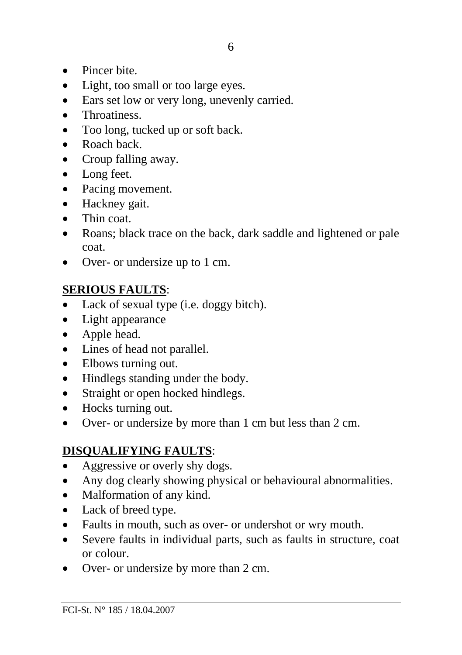- Pincer bite.
- Light, too small or too large eyes.
- Ears set low or very long, unevenly carried.
- Throatiness.
- Too long, tucked up or soft back.
- Roach back
- Croup falling away.
- Long feet.
- Pacing movement.
- Hackney gait.
- Thin coat.
- Roans; black trace on the back, dark saddle and lightened or pale coat.
- Over- or undersize up to 1 cm.

### **SERIOUS FAULTS**:

- Lack of sexual type (i.e. doggy bitch).
- Light appearance
- Apple head.
- Lines of head not parallel.
- Elbows turning out.
- Hindlegs standing under the body.
- Straight or open hocked hindlegs.
- Hocks turning out.
- Over- or undersize by more than 1 cm but less than 2 cm.

## **DISQUALIFYING FAULTS**:

- Aggressive or overly shy dogs.
- Any dog clearly showing physical or behavioural abnormalities.
- Malformation of any kind.
- Lack of breed type.
- Faults in mouth, such as over- or undershot or wry mouth.
- Severe faults in individual parts, such as faults in structure, coat or colour.
- Over- or undersize by more than 2 cm.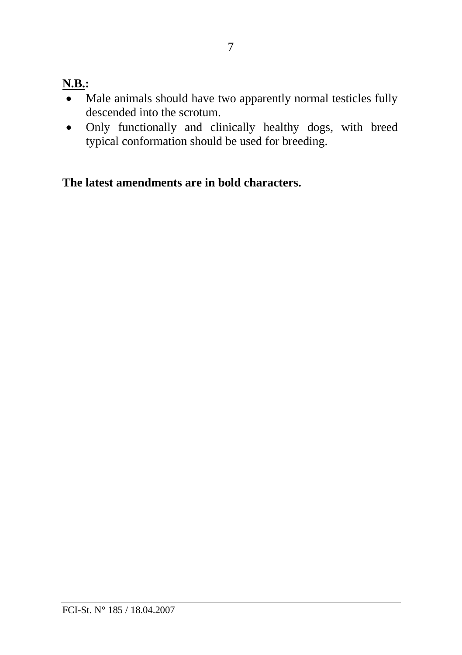# **N.B.:**

- Male animals should have two apparently normal testicles fully descended into the scrotum.
- Only functionally and clinically healthy dogs, with breed typical conformation should be used for breeding.

**The latest amendments are in bold characters.**